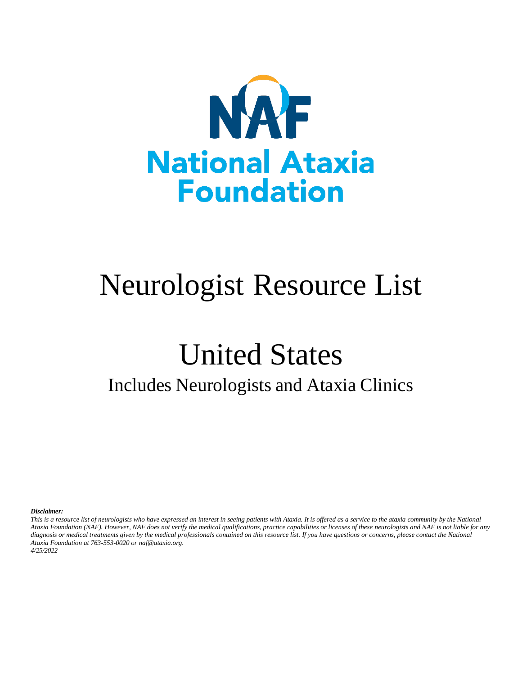

# Neurologist Resource List

# United States Includes Neurologists and Ataxia Clinics

*Disclaimer:*

*This is a resource list of neurologists who have expressed an interest in seeing patients with Ataxia. It is offered as a service to the ataxia community by the National Ataxia Foundation (NAF). However, NAF does not verify the medical qualifications, practice capabilities or licenses of these neurologists and NAF is not liable for any diagnosis or medical treatments given by the medical professionals contained on this resource list. If you have questions or concerns, please contact the National Ataxia Foundation at 763-553-0020 or naf@ataxia.org. 4/25/2022*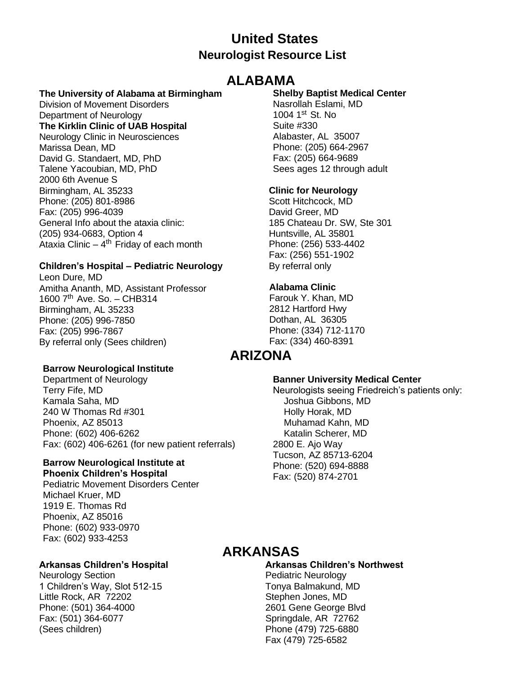## **United States Neurologist Resource List**

## **ALABAMA**

#### **The University of Alabama at Birmingham**

Division of Movement Disorders Department of Neurology

#### **The Kirklin Clinic of UAB Hospital**

Neurology Clinic in Neurosciences Marissa Dean, MD David G. Standaert, MD, PhD Talene Yacoubian, MD, PhD 2000 6th Avenue S Birmingham, AL 35233 Phone: (205) 801-8986 Fax: (205) 996-4039 General Info about the ataxia clinic: (205) 934-0683, Option 4 Ataxia Clinic - 4<sup>th</sup> Friday of each month

#### **Children's Hospital – Pediatric Neurology**

Leon Dure, MD Amitha Ananth, MD, Assistant Professor 1600  $7<sup>th</sup>$  Ave. So. - CHB314 Birmingham, AL 35233 Phone: (205) 996-7850 Fax: (205) 996-7867 By referral only (Sees children)

#### **Shelby Baptist Medical Center**

Nasrollah Eslami, MD 1004  $1^{st}$  St. No. Suite #330 Alabaster, AL 35007 Phone: (205) 664-2967 Fax: (205) 664-9689 Sees ages 12 through adult

#### **Clinic for Neurology**

Scott Hitchcock, MD David Greer, MD 185 Chateau Dr. SW, Ste 301 Huntsville, AL 35801 Phone: (256) 533-4402 Fax: (256) 551-1902 By referral only

#### **Alabama Clinic**

Farouk Y. Khan, MD 2812 Hartford Hwy Dothan, AL 36305 Phone: (334) 712-1170 Fax: (334) 460-8391

## **ARIZONA**

#### **Barrow Neurological Institute**

Department of Neurology Terry Fife, MD Kamala Saha, MD 240 W Thomas Rd #301 Phoenix, AZ 85013 Phone: (602) 406-6262 Fax: (602) 406-6261 (for new patient referrals)

## **Barrow Neurological Institute at**

**Phoenix Children's Hospital** Pediatric Movement Disorders Center Michael Kruer, MD 1919 E. Thomas Rd Phoenix, AZ 85016 Phone: (602) 933-0970 Fax: (602) 933-4253

#### **Arkansas Children's Hospital**

Neurology Section 1 Children's Way, Slot 512-15 Little Rock, AR 72202 Phone: (501) 364-4000 Fax: (501) 364-6077 (Sees children)

#### **Banner University Medical Center**

Neurologists seeing Friedreich's patients only: Joshua Gibbons, MD Holly Horak, MD Muhamad Kahn, MD Katalin Scherer, MD 2800 E. Ajo Way Tucson, AZ 85713-6204 Phone: (520) 694-8888 Fax: (520) 874-2701

## **ARKANSAS**

**Arkansas Children's Northwest** Pediatric Neurology Tonya Balmakund, MD Stephen Jones, MD 2601 Gene George Blvd Springdale, AR 72762 Phone (479) 725-6880 Fax (479) 725-6582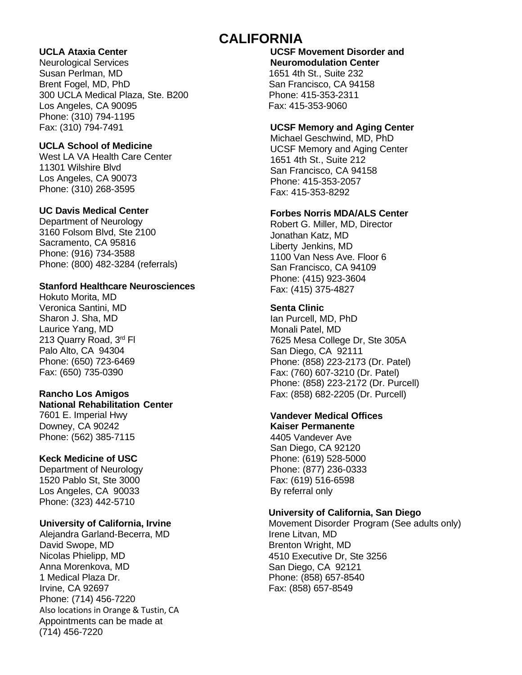## **CALIFORNIA**

#### **UCLA Ataxia Center**

Neurological Services Susan Perlman, MD Brent Fogel, MD, PhD 300 UCLA Medical Plaza, Ste. B200 Los Angeles, CA 90095 Phone: (310) 794-1195 Fax: (310) 794-7491

#### **UCLA School of Medicine**

West LA VA Health Care Center 11301 Wilshire Blvd Los Angeles, CA 90073 Phone: (310) 268-3595

#### **UC Davis Medical Center**

Department of Neurology 3160 Folsom Blvd, Ste 2100 Sacramento, CA 95816 Phone: (916) 734-3588 Phone: (800) 482-3284 (referrals)

#### **Stanford Healthcare Neurosciences**

Hokuto Morita, MD Veronica Santini, MD Sharon J. Sha, MD Laurice Yang, MD 213 Quarry Road, 3rd Fl. Palo Alto, CA 94304 Phone: (650) 723-6469 Fax: (650) 735-0390

### **Rancho Los Amigos**

**National Rehabilitation Center** 7601 E. Imperial Hwy

Downey, CA 90242 Phone: (562) 385-7115

#### **Keck Medicine of USC**

Department of Neurology 1520 Pablo St, Ste 3000 Los Angeles, CA 90033 Phone: (323) 442-5710

#### **University of California, Irvine**

Alejandra Garland-Becerra, MD David Swope, MD Nicolas Phielipp, MD Anna Morenkova, MD 1 Medical Plaza Dr. Irvine, CA 92697 Phone: (714) 456-7220 Also locations in Orange & Tustin, CA Appointments can be made at (714) 456-7220

**UCSF Movement Disorder and Neuromodulation Center** 1651 4th St., Suite 232 San Francisco, CA 94158 Phone: 415-353-2311 Fax: 415-353-9060

#### **UCSF Memory and Aging Center**

Michael Geschwind, MD, PhD UCSF Memory and Aging Center 1651 4th St., Suite 212 San Francisco, CA 94158 Phone: 415-353-2057 Fax: 415-353-8292

#### **Forbes Norris MDA/ALS Center**

Robert G. Miller, MD, Director Jonathan Katz, MD Liberty Jenkins, MD 1100 Van Ness Ave. Floor 6 San Francisco, CA 94109 Phone: (415) 923-3604 Fax: (415) 375-4827

#### **Senta Clinic**

Ian Purcell, MD, PhD Monali Patel, MD 7625 Mesa College Dr, Ste 305A San Diego, CA 92111 Phone: (858) 223-2173 (Dr. Patel) Fax: (760) 607-3210 (Dr. Patel) Phone: (858) 223-2172 (Dr. Purcell) Fax: (858) 682-2205 (Dr. Purcell)

#### **Vandever Medical Offices**

**Kaiser Permanente** 4405 Vandever Ave San Diego, CA 92120 Phone: (619) 528-5000 Phone: (877) 236-0333 Fax: (619) 516-6598 By referral only

#### **University of California, San Diego**

Movement Disorder Program (See adults only) Irene Litvan, MD Brenton Wright, MD 4510 Executive Dr, Ste 3256 San Diego, CA 92121 Phone: (858) 657-8540 Fax: (858) 657-8549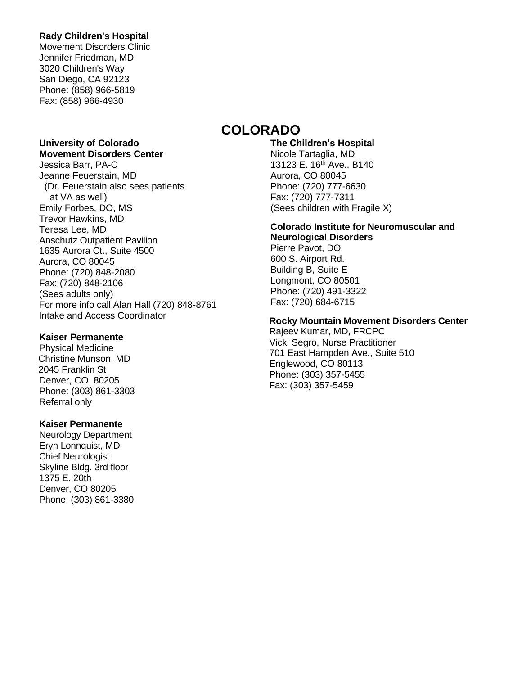#### **Rady Children's Hospital**

Movement Disorders Clinic Jennifer Friedman, MD 3020 Children's Way San Diego, CA 92123 Phone: (858) 966-5819 Fax: (858) 966-4930

#### **University of Colorado Movement Disorders Center**

Jessica Barr, PA-C Jeanne Feuerstain, MD (Dr. Feuerstain also sees patients at VA as well) Emily Forbes, DO, MS Trevor Hawkins, MD Teresa Lee, MD Anschutz Outpatient Pavilion 1635 Aurora Ct., Suite 4500 Aurora, CO 80045 Phone: (720) 848-2080 Fax: (720) 848-2106 (Sees adults only) For more info call Alan Hall (720) 848-8761 Intake and Access Coordinator

#### **Kaiser Permanente**

Physical Medicine Christine Munson, MD 2045 Franklin St Denver, CO 80205 Phone: (303) 861-3303 Referral only

#### **Kaiser Permanente**

Neurology Department Eryn Lonnquist, MD Chief Neurologist Skyline Bldg. 3rd floor 1375 E. 20th Denver, CO 80205 Phone: (303) 861-3380

## **COLORADO**

**The Children's Hospital** Nicole Tartaglia, MD 13123 E. 16<sup>th</sup> Ave., B140 Aurora, CO 80045 Phone: (720) 777-6630 Fax: (720) 777-7311 (Sees children with Fragile X)

## **Colorado Institute for Neuromuscular and**

**Neurological Disorders** Pierre Pavot, DO 600 S. Airport Rd. Building B, Suite E Longmont, CO 80501 Phone: (720) 491-3322 Fax: (720) 684-6715

#### **Rocky Mountain Movement Disorders Center**

Rajeev Kumar, MD, FRCPC Vicki Segro, Nurse Practitioner 701 East Hampden Ave., Suite 510 Englewood, CO 80113 Phone: (303) 357-5455 Fax: (303) 357-5459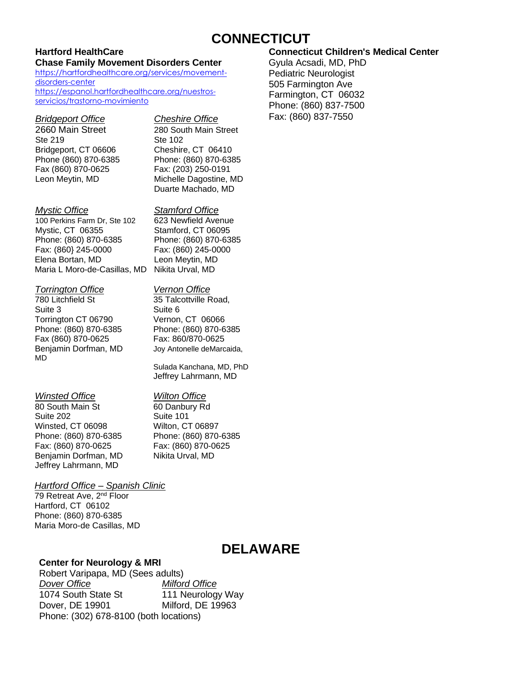## **CONNECTICUT**

#### **Hartford HealthCare Chase Family Movement Disorders Center**

[https://hartfordhealthcare.org/services/movement](https://hartfordhealthcare.org/services/movement-disorders-center)[disorders-center](https://hartfordhealthcare.org/services/movement-disorders-center) [https://espanol.hartfordhealthcare.org/nuestros](https://espanol.hartfordhealthcare.org/nuestros-servicios/trastorno-movimiento)[servicios/trastorno-movimiento](https://espanol.hartfordhealthcare.org/nuestros-servicios/trastorno-movimiento)

#### *Bridgeport Office Cheshire Office*

2660 Main Street 280 South Main Street Ste 219 Ste 102 Bridgeport, CT 06606 Cheshire, CT 06410 Fax (860) 870-0625 Fax: (203) 250-0191

Phone (860) 870-6385 Phone: (860) 870-6385 Leon Meytin, MD Michelle Dagostine, MD Duarte Machado, MD

#### *Mystic Office Stamford Office*

100 Perkins Farm Dr, Ste 102 623 Newfield Avenue Mystic, CT 06355 Stamford, CT 06095 Phone: (860) 870-6385 Phone: (860) 870-6385 Fax: (860} 245-0000 Fax: (860) 245-0000 Elena Bortan, MD Leon Meytin, MD Maria L Moro-de-Casillas, MD Nikita Urval, MD

#### *Torrington Office Vernon Office*

780 Litchfield St 35 Talcottville Road, Suite 3<br>
Torrington CT 06790 Vernon, CT 06066 Torrington CT 06790 Phone: (860) 870-6385 Phone: (860) 870-6385 Fax (860) 870-0625 Fax: 860/870-0625 Benjamin Dorfman, MD Joy Antonelle deMarcaida, MD

Sulada Kanchana, MD, PhD Jeffrey Lahrmann, MD

#### *Winsted Office Wilton Office*

80 South Main St 60 Danbury Rd Suite 202 Suite 101 Winsted, CT 06098 Wilton, CT 06897 Phone: (860) 870-6385 Phone: (860) 870-6385 Fax: (860) 870-0625 Fax: (860) 870-0625 Benjamin Dorfman, MD Nikita Urval, MD Jeffrey Lahrmann, MD

#### *Hartford Office – Spanish Clinic*

79 Retreat Ave, 2<sup>nd</sup> Floor Hartford, CT 06102 Phone: (860) 870-6385 Maria Moro-de Casillas, MD

## **DELAWARE**

#### **Center for Neurology & MRI**

#### Robert Varipapa, MD (Sees adults) *Dover Office Milford Office* 1074 South State St 111 Neurology Way Dover, DE 19901 Milford, DE 19963 Phone: (302) 678-8100 (both locations)

#### **Connecticut Children's Medical Center**

Gyula Acsadi, MD, PhD Pediatric Neurologist 505 Farmington Ave Farmington, CT 06032 Phone: (860) 837-7500 Fax: (860) 837-7550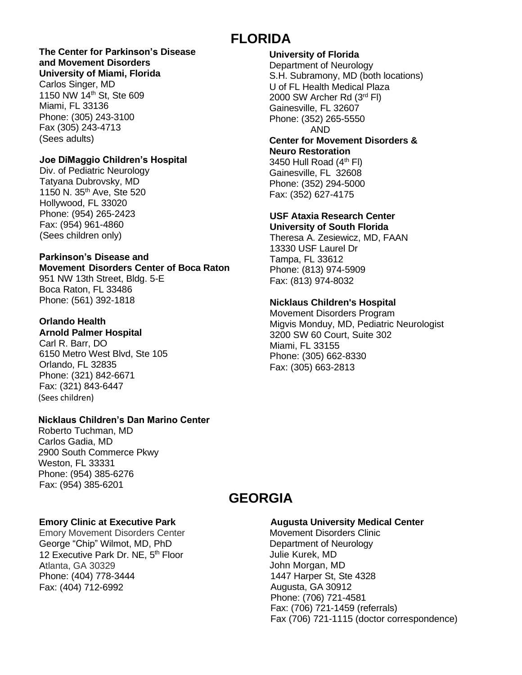## **FLORIDA**

#### **The Center for Parkinson's Disease and Movement Disorders University of Miami, Florida**

Carlos Singer, MD 1150 NW 14th St, Ste 609 Miami, FL 33136 Phone: (305) 243-3100 Fax (305) 243-4713 (Sees adults)

#### **Joe DiMaggio Children's Hospital**

Div. of Pediatric Neurology Tatyana Dubrovsky, MD 1150 N. 35th Ave, Ste 520 Hollywood, FL 33020 Phone: (954) 265-2423 Fax: (954) 961-4860 (Sees children only)

#### **Parkinson's Disease and**

**Movement Disorders Center of Boca Raton** 951 NW 13th Street, Bldg. 5-E Boca Raton, FL 33486 Phone: (561) 392-1818

## **Orlando Health**

**Arnold Palmer Hospital** Carl R. Barr, DO 6150 Metro West Blvd, Ste 105 Orlando, FL 32835 Phone: (321) 842-6671 Fax: (321) 843-6447 (Sees children)

#### **Nicklaus Children's Dan Marino Center**

Roberto Tuchman, MD Carlos Gadia, MD 2900 South Commerce Pkwy Weston, FL 33331 Phone: (954) 385-6276 Fax: (954) 385-6201

## **Emory Clinic at Executive Park**

Emory Movement Disorders Center George "Chip" Wilmot, MD, PhD 12 Executive Park Dr. NE, 5<sup>th</sup> Floor Atlanta, GA 30329 Phone: (404) 778-3444 Fax: (404) 712-6992

#### **University of Florida** Department of Neurology S.H. Subramony, MD (both locations) U of FL Health Medical Plaza 2000 SW Archer Rd (3rd Fl) Gainesville, FL 32607 Phone: (352) 265-5550 AND **Center for Movement Disorders & Neuro Restoration**

3450 Hull Road  $(4<sup>th</sup> Fl)$ Gainesville, FL 32608 Phone: (352) 294-5000 Fax: (352) 627-4175

#### **USF Ataxia Research Center University of South Florida**

Theresa A. Zesiewicz, MD, FAAN 13330 USF Laurel Dr Tampa, FL 33612 Phone: (813) 974-5909 Fax: (813) 974-8032

#### **Nicklaus Children's Hospital**

Movement Disorders Program Migvis Monduy, MD, Pediatric Neurologist 3200 SW 60 Court, Suite 302 Miami, FL 33155 Phone: (305) 662-8330 Fax: (305) 663-2813

## **GEORGIA**

#### **Augusta University Medical Center**

Movement Disorders Clinic Department of Neurology Julie Kurek, MD John Morgan, MD 1447 Harper St, Ste 4328 Augusta, GA 30912 Phone: (706) 721-4581 Fax: (706) 721-1459 (referrals) Fax (706) 721-1115 (doctor correspondence)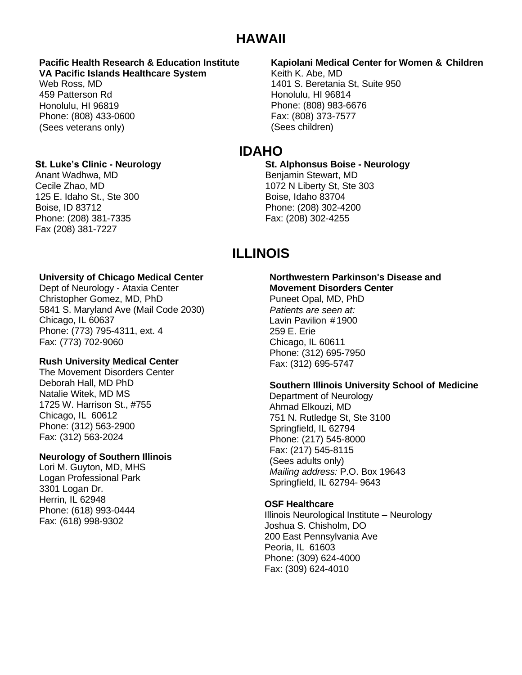## **HAWAII**

#### **Pacific Health Research & Education Institute VA Pacific Islands Healthcare System**

Web Ross, MD 459 Patterson Rd Honolulu, HI 96819 Phone: (808) 433-0600 (Sees veterans only)

#### **St. Luke's Clinic - Neurology**

Anant Wadhwa, MD Cecile Zhao, MD 125 E. Idaho St., Ste 300 Boise, ID 83712 Phone: (208) 381-7335 Fax (208) 381-7227

**University of Chicago Medical Center** Dept of Neurology - Ataxia Center Christopher Gomez, MD, PhD 5841 S. Maryland Ave (Mail Code 2030) Chicago, IL 60637 Phone: (773) 795-4311, ext. 4 Fax: (773) 702-9060

#### **Rush University Medical Center**

The Movement Disorders Center Deborah Hall, MD PhD Natalie Witek, MD MS 1725 W. Harrison St., #755 Chicago, IL 60612 Phone: (312) 563-2900 Fax: (312) 563-2024

#### **Neurology of Southern Illinois**

Lori M. Guyton, MD, MHS Logan Professional Park 3301 Logan Dr. Herrin, IL 62948 Phone: (618) 993-0444 Fax: (618) 998-9302

#### **Kapiolani Medical Center for Women & Children**

Keith K. Abe, MD 1401 S. Beretania St, Suite 950 Honolulu, HI 96814 Phone: (808) 983-6676 Fax: (808) 373-7577 (Sees children)

## **IDAHO**

**St. Alphonsus Boise - Neurology** Benjamin Stewart, MD 1072 N Liberty St, Ste 303 Boise, Idaho 83704 Phone: (208) 302-4200 Fax: (208) 302-4255

## **ILLINOIS**

#### **Northwestern [Parkinson's](http://www.parkinsons.northwestern.edu/) Disease and [Movement](http://www.parkinsons.northwestern.edu/) Disorders Center**

Puneet Opal, MD, PhD *Patients are seen at:* Lavin Pavilion #1900 259 E. Erie Chicago, IL 60611 Phone: (312) 695-7950 Fax: (312) 695-5747

#### **Southern Illinois University School of Medicine**

Department of Neurology Ahmad Elkouzi, MD 751 N. Rutledge St, Ste 3100 Springfield, IL 62794 Phone: (217) 545-8000 Fax: (217) 545-8115 (Sees adults only) *Mailing address:* P.O. Box 19643 Springfield, IL 62794- 9643

#### **OSF Healthcare**

Illinois Neurological Institute – Neurology Joshua S. Chisholm, DO 200 East Pennsylvania Ave Peoria, IL 61603 Phone: (309) 624-4000 Fax: (309) 624-4010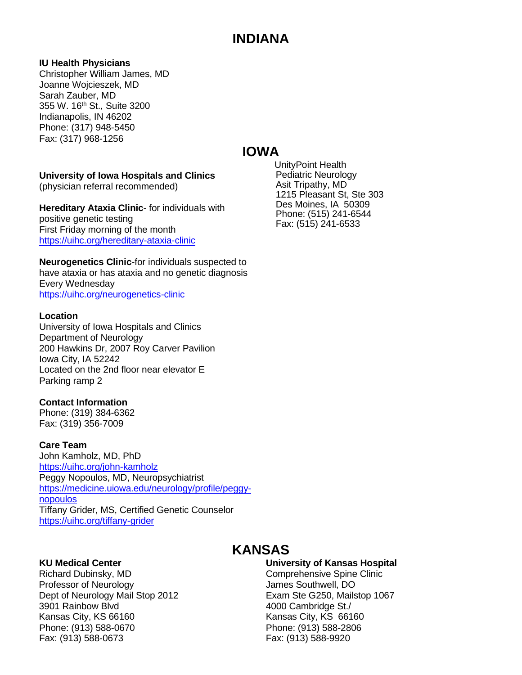## **INDIANA**

#### **IU Health Physicians**

Christopher William James, MD Joanne Wojcieszek, MD Sarah Zauber, MD 355 W. 16th St., Suite 3200 Indianapolis, IN 46202 Phone: (317) 948-5450 Fax: (317) 968-1256

## **IOWA**

#### **University of Iowa Hospitals and Clinics**

(physician referral recommended)

**Hereditary Ataxia Clinic**- for individuals with positive genetic testing First Friday morning of the month <https://uihc.org/hereditary-ataxia-clinic>

**Neurogenetics Clinic**-for individuals suspected to have ataxia or has ataxia and no genetic diagnosis Every Wednesday <https://uihc.org/neurogenetics-clinic>

#### **Location**

University of Iowa Hospitals and Clinics Department of Neurology 200 Hawkins Dr, 2007 Roy Carver Pavilion Iowa City, IA 52242 Located on the 2nd floor near elevator E Parking ramp 2

#### **Contact Information**

Phone: (319) 384-6362 Fax: (319) 356-7009

#### **Care Team**

John Kamholz, MD, PhD <https://uihc.org/john-kamholz> Peggy Nopoulos, MD, Neuropsychiatrist [https://medicine.uiowa.edu/neurology/profile/peggy](https://medicine.uiowa.edu/neurology/profile/peggy-nopoulos)[nopoulos](https://medicine.uiowa.edu/neurology/profile/peggy-nopoulos) Tiffany Grider, MS, Certified Genetic Counselor <https://uihc.org/tiffany-grider>

#### **KU Medical Center**

Richard Dubinsky, MD Professor of Neurology Dept of Neurology Mail Stop 2012 3901 Rainbow Blvd Kansas City, KS 66160 Phone: (913) 588-0670 Fax: (913) 588-0673

#### UnityPoint Health Pediatric Neurology Asit Tripathy, MD 1215 Pleasant St, Ste 303 Des Moines, IA 50309 Phone: (515) 241-6544 Fax: (515) 241-6533

## **KANSAS**

#### **University of Kansas Hospital**

Comprehensive Spine Clinic James Southwell, DO Exam Ste G250, Mailstop 1067 4000 Cambridge St./ Kansas City, KS 66160 Phone: (913) 588-2806 Fax: (913) 588-9920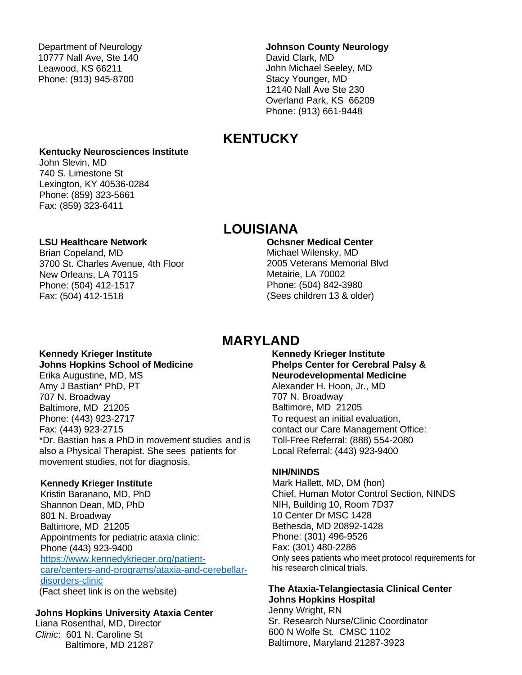Department of Neurology 10777 Nall Ave, Ste 140 Leawood, KS 66211 Phone: (913) 945-8700

## **Johnson County Neurology**

David Clark, MD John Michael Seeley, MD Stacy Younger, MD 12140 Nall Ave Ste 230 Overland Park, KS 66209 Phone: (913) 661-9448

## **KENTUCKY**

#### **Kentucky Neurosciences Institute**

John Slevin, MD 740 S. Limestone St Lexington, KY 40536-0284 Phone: (859) 323-5661 Fax: (859) 323-6411

## **LOUISIANA**

#### **LSU Healthcare Network**

Brian Copeland, MD 3700 St. Charles Avenue, 4th Floor New Orleans, LA 70115 Phone: (504) 412-1517 Fax: (504) 412-1518

#### **Ochsner Medical Center**

Michael Wilensky, MD 2005 Veterans Memorial Blvd Metairie, LA 70002 Phone: (504) 842-3980 (Sees children 13 & older)

## **MARYLAND**

#### **Kennedy Krieger Institute Johns Hopkins School of Medicine**

Erika Augustine, MD, MS Amy J Bastian\* PhD, PT 707 N. Broadway Baltimore, MD 21205 Phone: (443) 923-2717 Fax: (443) 923-2715 \*Dr. Bastian has a PhD in movement studies and is also a Physical Therapist. She sees patients for movement studies, not for diagnosis.

#### **Kennedy Krieger Institute**

Kristin Baranano, MD, PhD Shannon Dean, MD, PhD 801 N. Broadway Baltimore, MD 21205 Appointments for pediatric ataxia clinic: Phone (443) 923-9400 [https://www.kennedykrieger.org/patient](https://www.kennedykrieger.org/patient-care/centers-and-programs/ataxia-and-cerebellar-disorders-clinic)[care/centers-and-programs/ataxia-and-cerebellar](https://www.kennedykrieger.org/patient-care/centers-and-programs/ataxia-and-cerebellar-disorders-clinic)[disorders-clinic](https://www.kennedykrieger.org/patient-care/centers-and-programs/ataxia-and-cerebellar-disorders-clinic) (Fact sheet link is on the website)

#### **Johns Hopkins University Ataxia Center**

Liana Rosenthal, MD, Director *Clinic*: 601 N. Caroline St Baltimore, MD 21287

**Kennedy Krieger Institute Phelps Center for Cerebral Palsy & Neurodevelopmental Medicine** Alexander H. Hoon, Jr., MD 707 N. Broadway Baltimore, MD 21205 To request an initial evaluation, contact our Care [Management](http://www.kennedykrieger.org/kki_2nd_inside.jsp?pid=11) Office: Toll-Free Referral: (888) 554-2080 Local Referral: (443) 923-9400

#### **NIH/NINDS**

Mark Hallett, MD, DM (hon) Chief, Human Motor Control Section, NINDS NIH, Building 10, Room 7D37 10 Center Dr MSC 1428 Bethesda, MD 20892-1428 Phone: (301) 496-9526 Fax: (301) 480-2286 Only sees patients who meet protocol requirements for his research clinical trials.

#### **The Ataxia-Telangiectasia Clinical Center Johns Hopkins Hospital**

Jenny Wright, RN Sr. Research Nurse/Clinic Coordinator 600 N Wolfe St. CMSC 1102 Baltimore, Maryland 21287-3923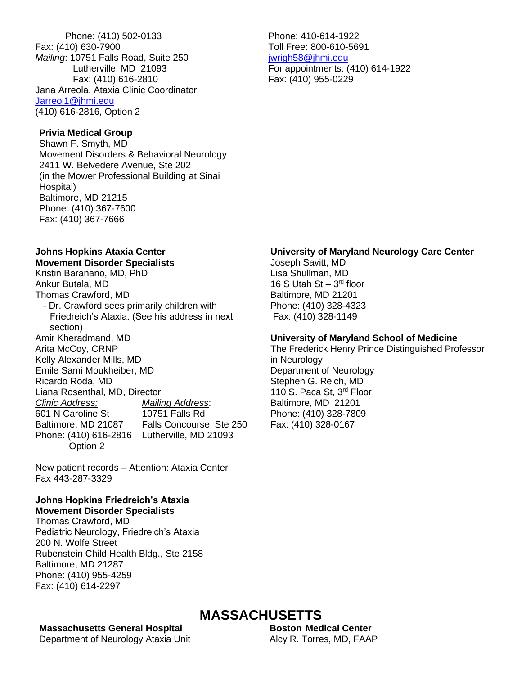Phone: (410) 502-0133 Fax: (410) 630-7900 *Mailing*: 10751 Falls Road, Suite 250 Lutherville, MD 21093 Fax: (410) 616-2810 Jana Arreola, Ataxia Clinic Coordinator [Jarreol1@jhmi.edu](mailto:Cmokar1@jhmi.edu) (410) 616-2816, Option 2

#### **Privia Medical Group**

Shawn F. Smyth, MD Movement Disorders & Behavioral Neurology 2411 W. Belvedere Avenue, Ste 202 (in the Mower Professional Building at Sinai Hospital) Baltimore, MD 21215 Phone: (410) 367-7600 Fax: (410) 367-7666

#### **Johns Hopkins Ataxia Center**

#### **Movement Disorder Specialists** Kristin Baranano, MD, PhD

Ankur Butala, MD Thomas Crawford, MD - Dr. Crawford sees primarily children with Friedreich's Ataxia. (See his address in next section) Amir Kheradmand, MD Arita McCoy, CRNP Kelly Alexander Mills, MD Emile Sami Moukheiber, MD Ricardo Roda, MD

Liana Rosenthal, MD, Director *Clinic Address; Mailing Address*: 601 N Caroline St Baltimore, MD 21087 Falls Concourse, Ste 250 Phone: (410) 616-2816 Lutherville, MD 21093 Option 2

New patient records – Attention: Ataxia Center Fax 443-287-3329

#### **Johns Hopkins Friedreich's Ataxia Movement Disorder Specialists**

Thomas Crawford, MD Pediatric Neurology, Friedreich's Ataxia 200 N. Wolfe Street Rubenstein Child Health Bldg., Ste 2158 Baltimore, MD 21287 Phone: (410) 955-4259 Fax: (410) 614-2297

Phone: 410-614-1922 Toll Free: 800-610-5691 [jwrigh58@jhmi.edu](mailto:jwrigh58@jhmi.edu) For appointments: (410) 614-1922 Fax: (410) 955-0229

#### **University of Maryland Neurology Care Center**

Joseph Savitt, MD Lisa Shullman, MD 16 S Utah St  $-3<sup>rd</sup>$  floor Baltimore, MD 21201 Phone: (410) 328-4323 Fax: (410) 328-1149

#### **University of Maryland School of Medicine**

The Frederick Henry Prince Distinguished Professor in Neurology Department of Neurology Stephen G. Reich, MD 110 S. Paca St. 3<sup>rd</sup> Floor Baltimore, MD 21201 Phone: (410) 328-7809 Fax: (410) 328-0167

**Massachusetts General Hospital**

Department of Neurology Ataxia Unit

## **MASSACHUSETTS**

**Boston Medical Center**  Alcy R. Torres, MD, FAAP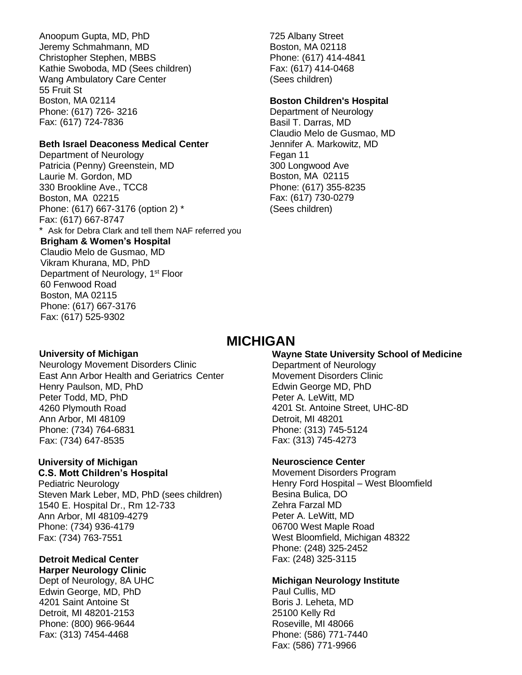Anoopum Gupta, MD, PhD Jeremy Schmahmann, MD Christopher Stephen, MBBS Kathie Swoboda, MD (Sees children) Wang Ambulatory Care Center 55 Fruit St Boston, MA 02114 Phone: (617) 726- 3216 Fax: (617) 724-7836

#### **Beth Israel Deaconess Medical Center**

Department of Neurology Patricia (Penny) Greenstein, MD Laurie M. Gordon, MD 330 Brookline Ave., TCC8 Boston, MA 02215 Phone: (617) 667-3176 (option 2) \* Fax: (617) 667-8747 \* Ask for Debra Clark and tell them NAF referred you **Brigham & Women's Hospital** Claudio Melo de Gusmao, MD Vikram Khurana, MD, PhD Department of Neurology, 1<sup>st</sup> Floor 60 Fenwood Road Boston, MA 02115 Phone: (617) 667-3176 Fax: (617) 525-9302

725 Albany Street Boston, MA 02118 Phone: (617) 414-4841 Fax: (617) 414-0468 (Sees children)

#### **Boston Children's Hospital**

Department of Neurology Basil T. Darras, MD Claudio Melo de Gusmao, MD Jennifer A. Markowitz, MD Fegan 11 300 Longwood Ave Boston, MA 02115 Phone: (617) 355-8235 Fax: (617) 730-0279 (Sees children)

## **MICHIGAN**

#### **University of Michigan**

Neurology Movement Disorders Clinic East Ann Arbor Health and Geriatrics Center Henry Paulson, MD, PhD Peter Todd, MD, PhD 4260 Plymouth Road Ann Arbor, MI 48109 Phone: (734) 764-6831 Fax: (734) 647-8535

### **University of Michigan**

**C.S. Mott Children's Hospital** Pediatric Neurology

Steven Mark Leber, MD, PhD (sees children) 1540 E. Hospital Dr., Rm 12-733 Ann Arbor, MI 48109-4279 Phone: (734) 936-4179 Fax: (734) 763-7551

#### **Detroit Medical Center Harper Neurology Clinic**

Dept of Neurology, 8A UHC Edwin George, MD, PhD 4201 Saint Antoine St Detroit, MI 48201-2153 Phone: (800) 966-9644 Fax: (313) 7454-4468

#### **Wayne State University School of Medicine**

Department of Neurology Movement Disorders Clinic Edwin George MD, PhD Peter A. LeWitt, MD 4201 St. Antoine Street, UHC-8D Detroit, MI 48201 Phone: (313) 745-5124 Fax: (313) 745-4273

#### **Neuroscience Center**

Movement Disorders Program Henry Ford Hospital – West Bloomfield Besina Bulica, DO Zehra Farzal MD Peter A. LeWitt, MD 06700 West Maple Road West Bloomfield, Michigan 48322 Phone: (248) 325-2452 Fax: (248) 325-3115

#### **Michigan Neurology Institute**

Paul Cullis, MD Boris J. Leheta, MD 25100 Kelly Rd Roseville, MI 48066 Phone: (586) 771-7440 Fax: (586) 771-9966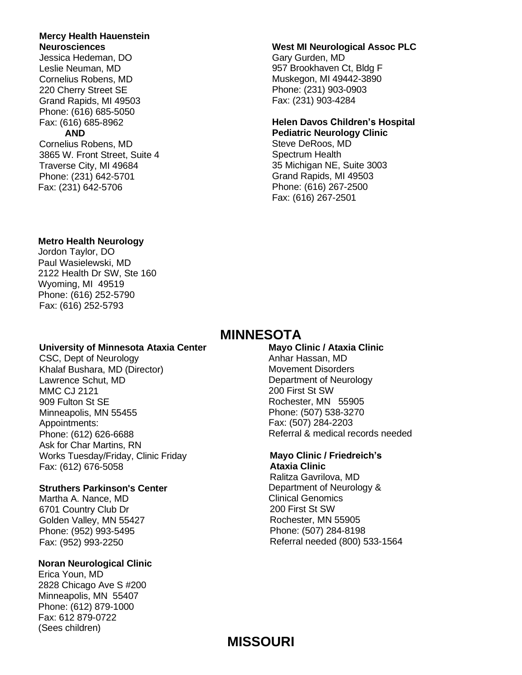#### **Mercy Health Hauenstein Neurosciences**

Jessica Hedeman, DO Leslie Neuman, MD Cornelius Robens, MD 220 Cherry Street SE Grand Rapids, MI 49503 Phone: (616) 685-5050 Fax: (616) 685-8962

#### **AND**

Cornelius Robens, MD 3865 W. Front Street, Suite 4 Traverse City, MI 49684 Phone: (231) 642-5701 Fax: (231) 642-5706

#### **West MI Neurological Assoc PLC**

Gary Gurden, MD 957 Brookhaven Ct, Bldg F Muskegon, MI 49442-3890 Phone: (231) 903-0903 Fax: (231) 903-4284

#### **Helen Davos Children's Hospital Pediatric Neurology Clinic**

Steve DeRoos, MD Spectrum Health 35 Michigan NE, Suite 3003 Grand Rapids, MI 49503 Phone: (616) 267-2500 Fax: (616) 267-2501

#### **Metro Health Neurology**

Jordon Taylor, DO Paul Wasielewski, MD 2122 Health Dr SW, Ste 160 Wyoming, MI 49519 Phone: (616) 252-5790 Fax: (616) 252-5793

## **MINNESOTA**

#### **University of Minnesota Ataxia Center**

CSC, Dept of Neurology Khalaf Bushara, MD (Director) Lawrence Schut, MD MMC CJ 2121 909 Fulton St SE Minneapolis, MN 55455 Appointments: Phone: (612) 626-6688 Ask for Char Martins, RN Works Tuesday/Friday, Clinic Friday Fax: (612) 676-5058

#### **Struthers Parkinson's Center**

Martha A. Nance, MD 6701 Country Club Dr Golden Valley, MN 55427 Phone: (952) 993-5495 Fax: (952) 993-2250

#### **Noran Neurological Clinic**

Erica Youn, MD 2828 Chicago Ave S #200 Minneapolis, MN 55407 Phone: (612) 879-1000 Fax: 612 879-0722 (Sees children)

**Mayo Clinic / Ataxia Clinic** Anhar Hassan, MD Movement Disorders Department of Neurology 200 First St SW Rochester, MN 55905 Phone: (507) 538-3270 Fax: (507) 284-2203 Referral & medical records needed

#### **Mayo Clinic / Friedreich's Ataxia Clinic**

Ralitza Gavrilova, MD Department of Neurology & Clinical Genomics 200 First St SW Rochester, MN 55905 Phone: (507) 284-8198 Referral needed (800) 533-1564

## **MISSOURI**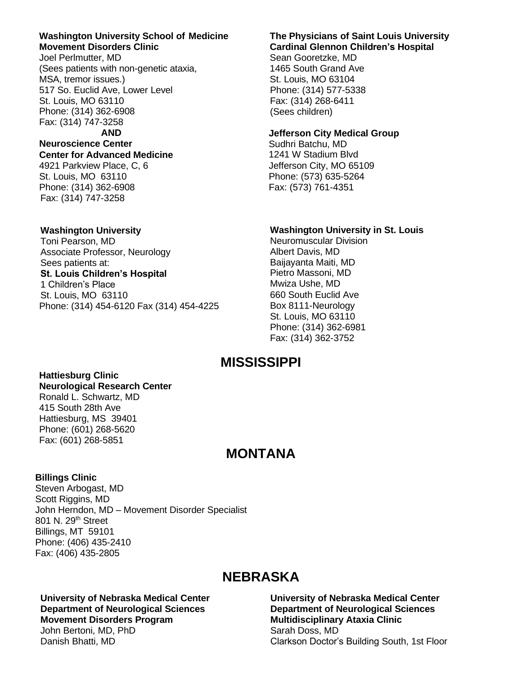#### **Washington University School of Medicine Movement Disorders Clinic**

Joel Perlmutter, MD (Sees patients with non-genetic ataxia, MSA, tremor issues.) 517 So. Euclid Ave, Lower Level St. Louis, MO 63110 Phone: (314) 362-6908 Fax: (314) 747-3258

**AND**

#### **Neuroscience Center Center for Advanced Medicine**

4921 Parkview Place, C, 6 St. Louis, MO 63110 Phone: (314) 362-6908 Fax: (314) 747-3258

#### **Washington University**

Toni Pearson, MD Associate Professor, Neurology Sees patients at: **St. Louis Children's Hospital** 1 Children's Place St. Louis, MO 63110 Phone: (314) 454-6120 Fax (314) 454-4225

#### **The Physicians of Saint Louis University Cardinal Glennon Children's Hospital**

Sean Gooretzke, MD 1465 South Grand Ave St. Louis, MO 63104 Phone: (314) 577-5338 Fax: (314) 268-6411 (Sees children)

#### **Jefferson City Medical Group**

Sudhri Batchu, MD 1241 W Stadium Blvd Jefferson City, MO 65109 Phone: (573) 635-5264 Fax: (573) 761-4351

#### **Washington University in St. Louis**

Neuromuscular Division Albert Davis, MD Baijayanta Maiti, MD Pietro Massoni, MD Mwiza Ushe, MD 660 South Euclid Ave Box 8111-Neurology St. Louis, MO 63110 Phone: (314) 362-6981 Fax: (314) 362-3752

## **MISSISSIPPI**

#### **Hattiesburg Clinic Neurological Research Center**

Ronald L. Schwartz, MD 415 South 28th Ave Hattiesburg, MS 39401 Phone: (601) 268-5620 Fax: (601) 268-5851

## **MONTANA**

#### **Billings Clinic**

Steven Arbogast, MD Scott Riggins, MD John Herndon, MD – Movement Disorder Specialist 801 N. 29<sup>th</sup> Street Billings, MT 59101 Phone: (406) 435-2410 Fax: (406) 435-2805

## **NEBRASKA**

#### **University of Nebraska Medical Center Department of Neurological Sciences Movement Disorders Program** John Bertoni, MD, PhD

Danish Bhatti, MD

#### **University of Nebraska Medical Center Department of Neurological Sciences Multidisciplinary Ataxia Clinic**  Sarah Doss, MD Clarkson Doctor's Building South, 1st Floor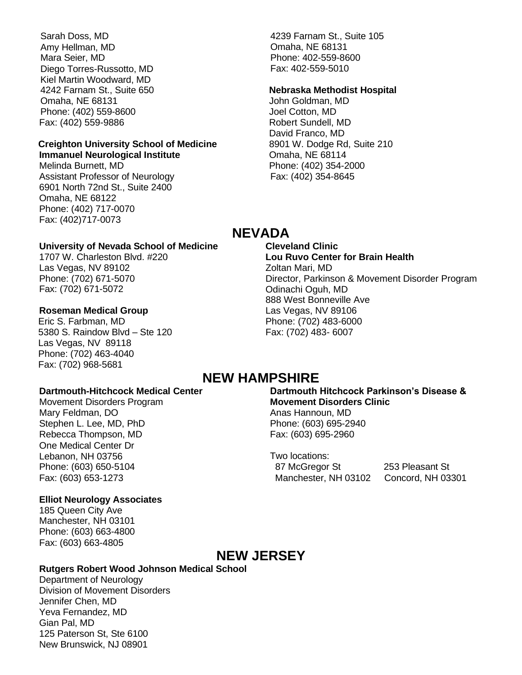Sarah Doss, MD Amy Hellman, MD Mara Seier, MD Diego Torres-Russotto, MD Kiel Martin Woodward, MD 4242 Farnam St., Suite 650 Omaha, NE 68131 Phone: (402) 559-8600 Fax: (402) 559-9886

#### **Creighton University School of Medicine Immanuel Neurological Institute**

Melinda Burnett, MD Assistant Professor of Neurology 6901 North 72nd St., Suite 2400 Omaha, NE 68122 Phone: (402) 717-0070 Fax: (402)717-0073

#### **University of Nevada School of Medicine**

1707 W. Charleston Blvd. #220 Las Vegas, NV 89102 Phone: (702) 671-5070 Fax: (702) 671-5072

#### **Roseman Medical Group**

Eric S. Farbman, MD 5380 S. Raindow Blvd – Ste 120 Las Vegas, NV 89118 Phone: (702) 463-4040 Fax: (702) 968-5681

#### **Dartmouth-Hitchcock Medical Center**

Movement Disorders Program Mary Feldman, DO Stephen L. Lee, MD, PhD Rebecca Thompson, MD One Medical Center Dr Lebanon, NH 03756 Phone: (603) 650-5104 Fax: (603) 653-1273

#### **Elliot Neurology Associates**

185 Queen City Ave Manchester, NH 03101 Phone: (603) 663-4800 Fax: (603) 663-4805

4239 Farnam St., Suite 105 Omaha, NE 68131 Phone: 402-559-8600 Fax: 402-559-5010

#### **Nebraska Methodist Hospital**

John Goldman, MD Joel Cotton, MD Robert Sundell, MD David Franco, MD 8901 W. Dodge Rd, Suite 210 Omaha, NE 68114 Phone: (402) 354-2000 Fax: (402) 354-8645

## **NEVADA**

**Cleveland Clinic Lou Ruvo Center for Brain Health** Zoltan Mari, MD Director, Parkinson & Movement Disorder Program Odinachi Oguh, MD 888 West Bonneville Ave Las Vegas, NV 89106 Phone: (702) 483-6000 Fax: (702) 483- 6007

## **NEW HAMPSHIRE**

**Dartmouth Hitchcock Parkinson's Disease & Movement Disorders Clinic** Anas Hannoun, MD Phone: (603) 695-2940 Fax: (603) 695-2960

Two locations: 87 McGregor St 253 Pleasant St Manchester, NH 03102 Concord, NH 03301

## **NEW JERSEY**

#### **Rutgers Robert Wood Johnson Medical School**

Department of Neurology Division of Movement Disorders Jennifer Chen, MD Yeva Fernandez, MD Gian Pal, MD 125 Paterson St, Ste 6100 New Brunswick, NJ 08901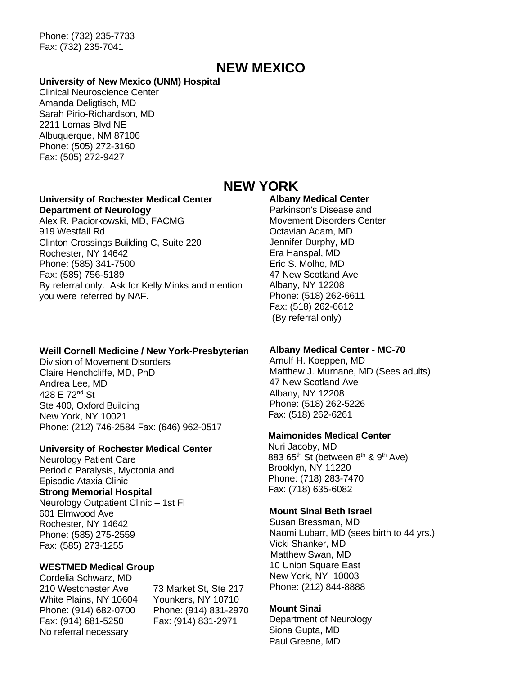Phone: (732) 235-7733 Fax: (732) 235-7041

## **NEW MEXICO**

#### **University of New Mexico (UNM) Hospital**

Clinical Neuroscience Center Amanda Deligtisch, MD Sarah Pirio-Richardson, MD 2211 Lomas Blvd NE Albuquerque, NM 87106 Phone: (505) 272-3160 Fax: (505) 272-9427

#### **University of Rochester Medical Center Department of Neurology**

Alex R. Paciorkowski, MD, FACMG 919 Westfall Rd Clinton Crossings Building C, Suite 220 Rochester, NY 14642 Phone: (585) 341-7500 Fax: (585) 756-5189 By referral only. Ask for Kelly Minks and mention you were referred by NAF.

#### **Weill Cornell Medicine / New York-Presbyterian**

Division of Movement Disorders Claire Henchcliffe, MD, PhD Andrea Lee, MD 428 E 72nd St Ste 400, Oxford Building New York, NY 10021 Phone: (212) 746-2584 Fax: (646) 962-0517

#### **University of Rochester Medical Center**

Neurology Patient Care Periodic Paralysis, Myotonia and Episodic Ataxia Clinic **Strong Memorial Hospital** Neurology Outpatient Clinic – 1st Fl 601 Elmwood Ave Rochester, NY 14642 Phone: (585) 275-2559 Fax: (585) 273-1255

#### **WESTMED Medical Group**

Cordelia Schwarz, MD 210 Westchester Ave 73 Market St, Ste 217 White Plains, NY 10604 Younkers, NY 10710 Phone: (914) 682-0700 Phone: (914) 831-2970 Fax: (914) 681-5250 Fax: (914) 831-2971 No referral necessary

### **NEW YORK**

#### **Albany Medical Center**

Parkinson's Disease and Movement Disorders Center Octavian Adam, MD Jennifer Durphy, MD Era Hanspal, MD Eric S. Molho, MD 47 New Scotland Ave Albany, NY 12208 Phone: (518) 262-6611 Fax: (518) 262-6612 (By referral only)

#### **Albany Medical Center - MC-70**

Arnulf H. Koeppen, MD Matthew J. Murnane, MD (Sees adults) 47 New Scotland Ave Albany, NY 12208 Phone: (518) 262-5226 Fax: (518) 262-6261

#### **Maimonides Medical Center**

Nuri Jacoby, MD 883  $65<sup>th</sup>$  St (between  $8<sup>th</sup>$  &  $9<sup>th</sup>$  Ave) Brooklyn, NY 11220 Phone: (718) 283-7470 Fax: (718) 635-6082

#### **Mount Sinai Beth Israel**

Susan Bressman, MD Naomi Lubarr, MD (sees birth to 44 yrs.) Vicki Shanker, MD Matthew Swan, MD 10 Union Square East New York, NY 10003 Phone: (212) 844-8888

#### **Mount Sinai**

Department of Neurology Siona Gupta, MD Paul Greene, MD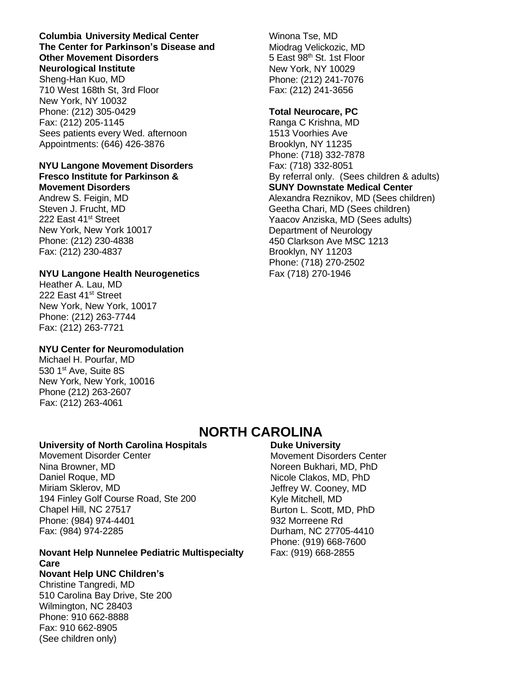#### **Columbia University Medical Center The Center for Parkinson's Disease and Other Movement Disorders Neurological Institute**

Sheng-Han Kuo, MD 710 West 168th St, 3rd Floor New York, NY 10032 Phone: (212) 305-0429 Fax: (212) 205-1145 Sees patients every Wed. afternoon Appointments: (646) 426-3876

#### **NYU Langone Movement Disorders Fresco Institute for Parkinson &**

**Movement Disorders**

Andrew S. Feigin, MD Steven J. Frucht, MD 222 East 41<sup>st</sup> Street New York, New York 10017 Phone: (212) 230-4838 Fax: (212) 230-4837

#### **NYU Langone Health Neurogenetics**

Heather A. Lau, MD 222 East 41<sup>st</sup> Street New York, New York, 10017 Phone: (212) 263-7744 Fax: (212) 263-7721

#### **NYU Center for Neuromodulation**

Michael H. Pourfar, MD 530 1st Ave, Suite 8S New York, New York, 10016 Phone (212) 263-2607 Fax: (212) 263-4061

## **NORTH CAROLINA**

#### **University of North Carolina Hospitals**

Movement Disorder Center Nina Browner, MD Daniel Roque, MD Miriam Sklerov, MD 194 Finley Golf Course Road, Ste 200 Chapel Hill, NC 27517 Phone: (984) 974-4401 Fax: (984) 974-2285

#### **Novant Help Nunnelee Pediatric Multispecialty Care**

**Novant Help UNC Children's** Christine Tangredi, MD 510 Carolina Bay Drive, Ste 200 Wilmington, NC 28403 Phone: 910 662-8888 Fax: 910 662-8905 (See children only)

#### **Duke University** Movement Disorders Center Noreen Bukhari, MD, PhD Nicole Clakos, MD, PhD

Jeffrey W. Cooney, MD Kyle Mitchell, MD Burton L. Scott, MD, PhD 932 Morreene Rd Durham, NC 27705-4410 Phone: (919) 668-7600 Fax: (919) 668-2855

Winona Tse, MD Miodrag Velickozic, MD 5 East 98th St. 1st Floor New York, NY 10029 Phone: (212) 241-7076 Fax: (212) 241-3656

#### **Total Neurocare, PC**

Ranga C Krishna, MD 1513 Voorhies Ave Brooklyn, NY 11235 Phone: (718) 332-7878 Fax: (718) 332-8051 By referral only. (Sees children & adults) **SUNY Downstate Medical Center** Alexandra Reznikov, MD (Sees children) Geetha Chari, MD (Sees children) Yaacov Anziska, MD (Sees adults) Department of Neurology 450 Clarkson Ave MSC 1213 Brooklyn, NY 11203 Phone: (718) 270-2502 Fax (718) 270-1946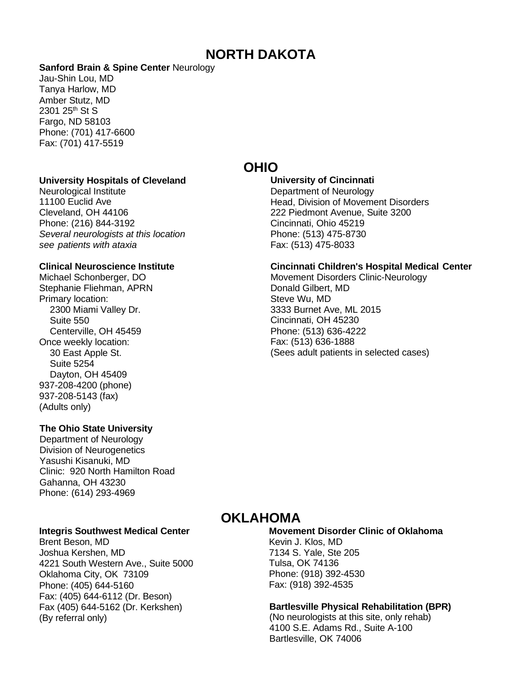## **NORTH DAKOTA**

#### **Sanford Brain & Spine Center** Neurology

Jau-Shin Lou, MD Tanya Harlow, MD Amber Stutz, MD 2301 25<sup>th</sup> St S Fargo, ND 58103 Phone: (701) 417-6600 Fax: (701) 417-5519

#### **University Hospitals of Cleveland**

Neurological Institute 11100 Euclid Ave Cleveland, OH 44106 Phone: (216) 844-3192 *Several neurologists at this location see patients with ataxia*

#### **Clinical Neuroscience Institute**

Michael Schonberger, DO Stephanie Fliehman, APRN Primary location: 2300 Miami Valley Dr. Suite 550 Centerville, OH 45459 Once weekly location: 30 East Apple St. Suite 5254 Dayton, OH 45409 937-208-4200 (phone) 937-208-5143 (fax) (Adults only)

#### **The Ohio State University**

Department of Neurology Division of Neurogenetics Yasushi Kisanuki, MD Clinic: 920 North Hamilton Road Gahanna, OH 43230 Phone: (614) 293-4969

#### **Integris Southwest Medical Center**

Brent Beson, MD Joshua Kershen, MD 4221 South Western Ave., Suite 5000 Oklahoma City, OK 73109 Phone: (405) 644-5160 Fax: (405) 644-6112 (Dr. Beson) Fax (405) 644-5162 (Dr. Kerkshen) (By referral only)

## **OHIO**

#### **University of Cincinnati**

Department of Neurology Head, Division of Movement Disorders 222 Piedmont Avenue, Suite 3200 Cincinnati, Ohio 45219 Phone: (513) 475-8730 Fax: (513) 475-8033

#### **Cincinnati Children's Hospital Medical Center**

Movement Disorders Clinic-Neurology Donald Gilbert, MD Steve Wu, MD 3333 Burnet Ave, ML 2015 Cincinnati, OH 45230 Phone: (513) 636-4222 Fax: (513) 636-1888 (Sees adult patients in selected cases)

## **OKLAHOMA**

**Movement Disorder Clinic of Oklahoma** Kevin J. Klos, MD 7134 S. Yale, Ste 205 Tulsa, OK 74136 Phone: (918) 392-4530 Fax: (918) 392-4535

#### **Bartlesville Physical Rehabilitation (BPR)**

(No neurologists at this site, only rehab) 4100 S.E. Adams Rd., Suite A-100 Bartlesville, OK 74006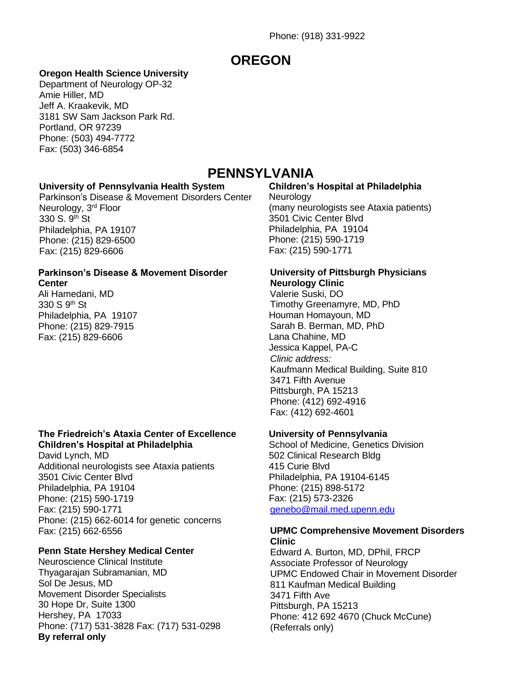## **OREGON**

#### **Oregon Health Science University**

Department of Neurology OP-32 Amie Hiller, MD Jeff A. Kraakevik, MD 3181 SW Sam Jackson Park Rd. Portland, OR 97239 Phone: (503) 494-7772 Fax: (503) 346-6854

## **PENNSYLVANIA**

#### **University of Pennsylvania Health System**

Parkinson's Disease & Movement Disorders Center Neurology, 3<sup>rd</sup> Floor 330 S. 9th St Philadelphia, PA 19107 Phone: (215) 829-6500 Fax: (215) 829-6606

#### **Parkinson's Disease & Movement Disorder Center**

Ali Hamedani, MD 330 S 9<sup>th</sup> St Philadelphia, PA 19107 Phone: (215) 829-7915 Fax: (215) 829-6606

#### **The Friedreich's Ataxia Center of Excellence Children's Hospital at Philadelphia**

David Lynch, MD Additional neurologists see Ataxia patients 3501 Civic Center Blvd Philadelphia, PA 19104 Phone: (215) 590-1719 Fax: (215) 590-1771 Phone: (215) 662-6014 for genetic concerns Fax: (215) 662-6556

#### **Penn State Hershey Medical Center**

Neuroscience Clinical Institute Thyagarajan Subramanian, MD Sol De Jesus, MD Movement Disorder Specialists 30 Hope Dr, Suite 1300 Hershey, PA 17033 Phone: (717) 531-3828 Fax: (717) 531-0298 **By referral only**

#### **Children's Hospital at Philadelphia**

**Neurology** (many neurologists see Ataxia patients) 3501 Civic Center Blvd Philadelphia, PA 19104 Phone: (215) 590-1719 Fax: (215) 590-1771

#### **University of Pittsburgh Physicians Neurology Clinic**

Valerie Suski, DO Timothy Greenamyre, MD, PhD Houman Homayoun, MD Sarah B. Berman, MD, PhD Lana Chahine, MD Jessica Kappel, PA-C *Clinic address:* Kaufmann Medical Building, Suite 810 3471 Fifth Avenue Pittsburgh, PA 15213 Phone: (412) 692-4916 Fax: (412) 692-4601

#### **University of Pennsylvania**

School of Medicine, Genetics Division 502 Clinical Research Bldg 415 Curie Blvd Philadelphia, PA 19104-6145 Phone: (215) 898-5172 Fax: (215) 573-2326 [genebo@mail.med.upenn.edu](mailto:genebo@mail.med.upenn.edu)

#### **UPMC Comprehensive Movement Disorders Clinic**

Edward A. Burton, MD, DPhil, FRCP Associate Professor of Neurology UPMC Endowed Chair in Movement Disorder 811 Kaufman Medical Building 3471 Fifth Ave Pittsburgh, PA 15213 Phone: 412 692 4670 (Chuck McCune) (Referrals only)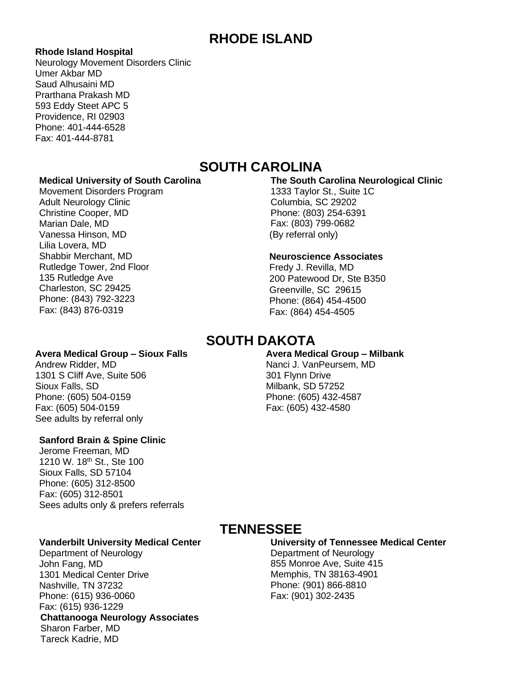## **RHODE ISLAND**

#### **Rhode Island Hospital**

Neurology Movement Disorders Clinic Umer Akbar MD Saud Alhusaini MD Prarthana Prakash MD 593 Eddy Steet APC 5 Providence, RI 02903 Phone: 401-444-6528 Fax: 401-444-8781

## **SOUTH CAROLINA**

#### **Medical University of South Carolina**

Movement Disorders Program Adult Neurology Clinic Christine Cooper, MD Marian Dale, MD Vanessa Hinson, MD Lilia Lovera, MD Shabbir Merchant, MD Rutledge Tower, 2nd Floor 135 Rutledge Ave Charleston, SC 29425 Phone: (843) 792-3223 Fax: (843) 876-0319

#### **The South Carolina Neurological Clinic** 1333 Taylor St., Suite 1C

Columbia, SC 29202 Phone: (803) 254-6391 Fax: (803) 799-0682 (By referral only)

#### **Neuroscience Associates**

Fredy J. Revilla, MD 200 Patewood Dr, Ste B350 Greenville, SC 29615 Phone: (864) 454-4500 Fax: (864) 454-4505

Nanci J. VanPeursem, MD

301 Flynn Drive Milbank, SD 57252 Phone: (605) 432-4587 Fax: (605) 432-4580

#### **SOUTH DAKOTA Avera Medical Group – Milbank**

#### **Avera Medical Group – Sioux Falls**

Andrew Ridder, MD 1301 S Cliff Ave, Suite 506 Sioux Falls, SD Phone: (605) 504-0159 Fax: (605) 504-0159 See adults by referral only

#### **Sanford Brain & Spine Clinic**

Jerome Freeman, MD 1210 W. 18<sup>th</sup> St., Ste 100 Sioux Falls, SD 57104 Phone: (605) 312-8500 Fax: (605) 312-8501 Sees adults only & prefers referrals

#### **Vanderbilt University Medical Center** Department of Neurology

John Fang, MD 1301 Medical Center Drive Nashville, TN 37232 Phone: (615) 936-0060 Fax: (615) 936-1229 **Chattanooga Neurology Associates** Sharon Farber, MD Tareck Kadrie, MD

## **TENNESSEE**

#### **University of Tennessee Medical Center**

Department of Neurology 855 Monroe Ave, Suite 415 Memphis, TN 38163-4901 Phone: (901) 866-8810 Fax: (901) 302-2435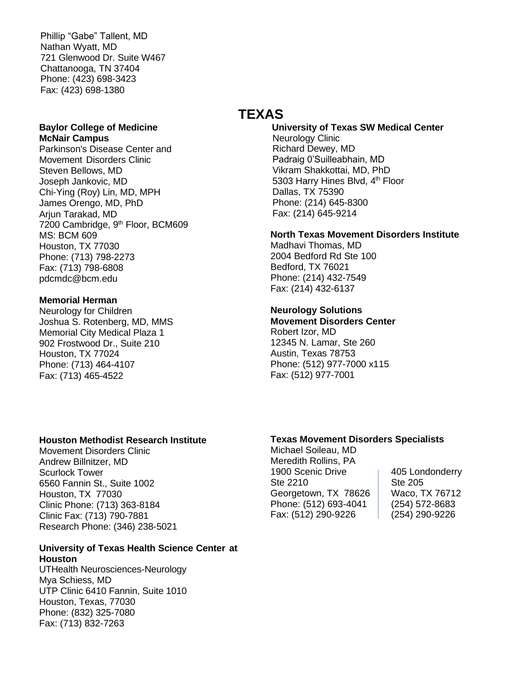Phillip "Gabe" Tallent, MD Nathan Wyatt, MD 721 Glenwood Dr. Suite W467 Chattanooga, TN 37404 Phone: (423) 698-3423 Fax: (423) 698-1380

#### **Baylor College of Medicine McNair Campus**

Parkinson's Disease Center and Movement Disorders Clinic Steven Bellows, MD Joseph Jankovic, MD Chi-Ying (Roy) Lin, MD, MPH James Orengo, MD, PhD Arjun Tarakad, MD 7200 Cambridge, 9<sup>th</sup> Floor, BCM609 MS: BCM 609 Houston, TX 77030 Phone: (713) 798-2273 Fax: (713) 798-6808 pdcmdc@bcm.edu

#### **Memorial Herman**

Neurology for Children Joshua S. Rotenberg, MD, MMS Memorial City Medical Plaza 1 902 Frostwood Dr., Suite 210 Houston, TX 77024 Phone: (713) 464-4107 Fax: (713) 465-4522

## **TEXAS**

**University of Texas SW Medical Center** Neurology Clinic Richard Dewey, MD Padraig 0'Suilleabhain, MD Vikram Shakkottai, MD, PhD 5303 Harry Hines Blvd, 4<sup>th</sup> Floor Dallas, TX 75390 Phone: (214) 645-8300 Fax: (214) 645-9214

#### **North Texas Movement Disorders Institute**

Madhavi Thomas, MD 2004 Bedford Rd Ste 100 Bedford, TX 76021 Phone: (214) 432-7549 Fax: (214) 432-6137

#### **Neurology Solutions**

**Movement Disorders Center** Robert Izor, MD 12345 N. Lamar, Ste 260 Austin, Texas 78753 Phone: (512) 977-7000 x115 Fax: (512) 977-7001

#### **Houston Methodist Research Institute**

Movement Disorders Clinic Andrew Billnitzer, MD Scurlock Tower 6560 Fannin St., Suite 1002 Houston, TX 77030 Clinic Phone: (713) 363-8184 Clinic Fax: (713) 790-7881 Research Phone: (346) 238-5021

#### **University of Texas Health Science Center at Houston**

UTHealth Neurosciences-Neurology Mya Schiess, MD UTP Clinic 6410 Fannin, Suite 1010 Houston, Texas, 77030 Phone: (832) 325-7080 Fax: (713) 832-7263

#### **Texas Movement Disorders Specialists**

Michael Soileau, MD Meredith Rollins, PA 1900 Scenic Drive | 405 Londonderry Ste 2210 Ste 205 Georgetown, TX 78626 | Waco, TX 76712 Phone: (512) 693-4041 (254) 572-8683 Fax: (512) 290-9226 (254) 290-9226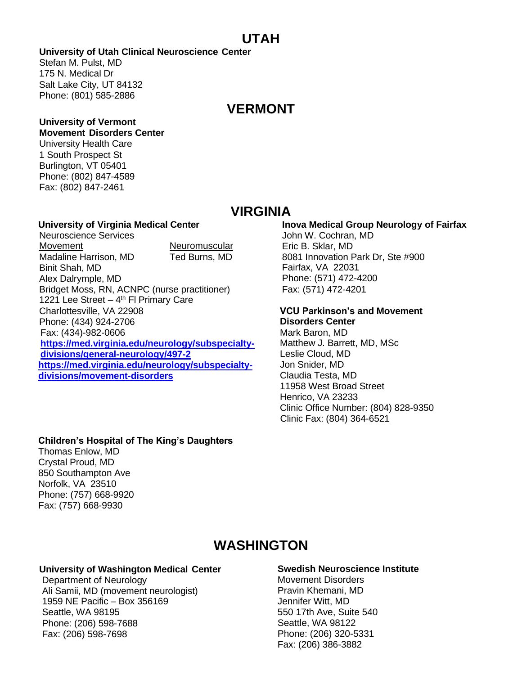## **UTAH**

**University of Utah Clinical Neuroscience Center**

Stefan M. Pulst, MD 175 N. Medical Dr Salt Lake City, UT 84132 Phone: (801) 585-2886

## **VERMONT**

#### **University of Vermont Movement Disorders Center**

University Health Care 1 South Prospect St Burlington, VT 05401 Phone: (802) 847-4589 Fax: (802) 847-2461

## **VIRGINIA**

#### **University of Virginia Medical Center**

Neuroscience Services Movement Neuromuscular Madaline Harrison, MD Ted Burns, MD Binit Shah, MD Alex Dalrymple, MD Bridget Moss, RN, ACNPC (nurse practitioner) 1221 Lee Street  $-4<sup>th</sup>$  FI Primary Care Charlottesville, VA 22908 Phone: (434) 924-2706 Fax: (434)-982-0606 **[https://med.virginia.edu/neurology/subspecialty](https://med.virginia.edu/neurology/subspecialty-divisions/general-neurology/497-2)[divisions/general-neurology/497-2](https://med.virginia.edu/neurology/subspecialty-divisions/general-neurology/497-2) [https://med.virginia.edu/neurology/subspecialty](https://med.virginia.edu/neurology/subspecialty-divisions/movement-disorders)[divisions/movement-disorders](https://med.virginia.edu/neurology/subspecialty-divisions/movement-disorders)**

### **Inova Medical Group Neurology of Fairfax**

John W. Cochran, MD Eric B. Sklar, MD 8081 Innovation Park Dr, Ste #900 Fairfax, VA 22031 Phone: (571) 472-4200 Fax: (571) 472-4201

## **VCU Parkinson's and Movement**

**Disorders Center** Mark Baron, MD Matthew J. Barrett, MD, MSc Leslie Cloud, MD Jon Snider, MD Claudia Testa, MD 11958 West Broad Street Henrico, VA 23233 Clinic Office Number: (804) 828-9350 Clinic Fax: (804) 364-6521

#### **Children's Hospital of The King's Daughters**

Thomas Enlow, MD Crystal Proud, MD 850 Southampton Ave Norfolk, VA 23510 Phone: (757) 668-9920 Fax: (757) 668-9930

## **WASHINGTON**

#### **University of Washington Medical Center**

Department of Neurology Ali Samii, MD (movement neurologist) 1959 NE Pacific – Box 356169 Seattle, WA 98195 Phone: (206) 598-7688 Fax: (206) 598-7698

#### **Swedish Neuroscience Institute**

Movement Disorders Pravin Khemani, MD Jennifer Witt, MD 550 17th Ave, Suite 540 Seattle, WA 98122 Phone: (206) 320-5331 Fax: (206) 386-3882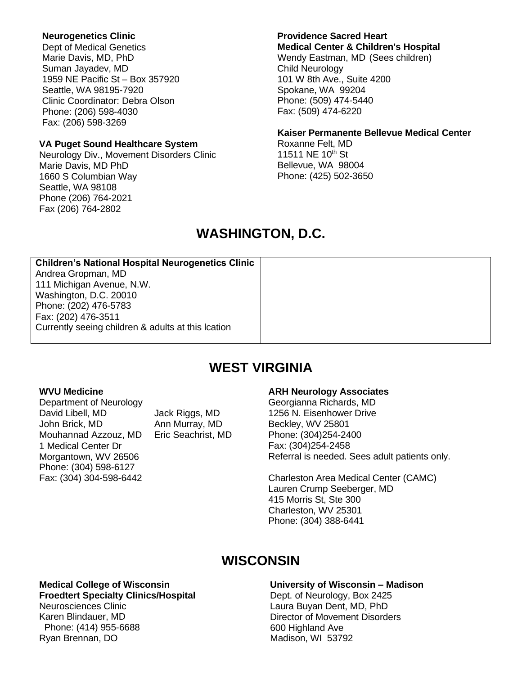#### **Neurogenetics Clinic**

Dept of Medical Genetics Marie Davis, MD, PhD Suman Jayadev, MD 1959 NE Pacific St – Box 357920 Seattle, WA 98195-7920 Clinic Coordinator: Debra Olson Phone: (206) 598-4030 Fax: (206) 598-3269

#### **VA Puget Sound Healthcare System**

Neurology Div., Movement Disorders Clinic Marie Davis, MD PhD 1660 S Columbian Way Seattle, WA 98108 Phone (206) 764-2021 Fax (206) 764-2802

## **Providence Sacred Heart**

**Medical Center & Children's Hospital** Wendy Eastman, MD (Sees children) Child Neurology 101 W 8th Ave., Suite 4200 Spokane, WA 99204 Phone: (509) 474-5440 Fax: (509) 474-6220

#### **Kaiser Permanente Bellevue Medical Center**

Roxanne Felt, MD 11511 NE 10<sup>th</sup> St Bellevue, WA 98004 Phone: (425) 502-3650

## **WASHINGTON, D.C.**

| <b>Children's National Hospital Neurogenetics Clinic</b> |  |
|----------------------------------------------------------|--|
| Andrea Gropman, MD                                       |  |
| 111 Michigan Avenue, N.W.                                |  |
| Washington, D.C. 20010                                   |  |
| Phone: (202) 476-5783                                    |  |
| Fax: (202) 476-3511                                      |  |
| Currently seeing children & adults at this lcation       |  |

## **WEST VIRGINIA**

#### **WVU Medicine**

Department of Neurology David Libell, MD Jack Riggs, MD John Brick, MD Ann Murray, MD Mouhannad Azzouz, MD Eric Seachrist, MD 1 Medical Center Dr Morgantown, WV 26506 Phone: (304) 598-6127 Fax: (304) 304-598-6442

#### **ARH Neurology Associates**

Georgianna Richards, MD 1256 N. Eisenhower Drive Beckley, WV 25801 Phone: (304)254-2400 Fax: (304)254-2458 Referral is needed. Sees adult patients only.

Charleston Area Medical Center (CAMC) Lauren Crump Seeberger, MD 415 Morris St, Ste 300 Charleston, WV 25301 Phone: (304) 388-6441

## **WISCONSIN**

#### **Medical College of Wisconsin**

**Froedtert Specialty Clinics/Hospital**

Neurosciences Clinic Karen Blindauer, MD Phone: (414) 955-6688 Ryan Brennan, DO

## **University of Wisconsin – Madison**

Dept. of Neurology, Box 2425 Laura Buyan Dent, MD, PhD Director of Movement Disorders 600 Highland Ave Madison, WI 53792